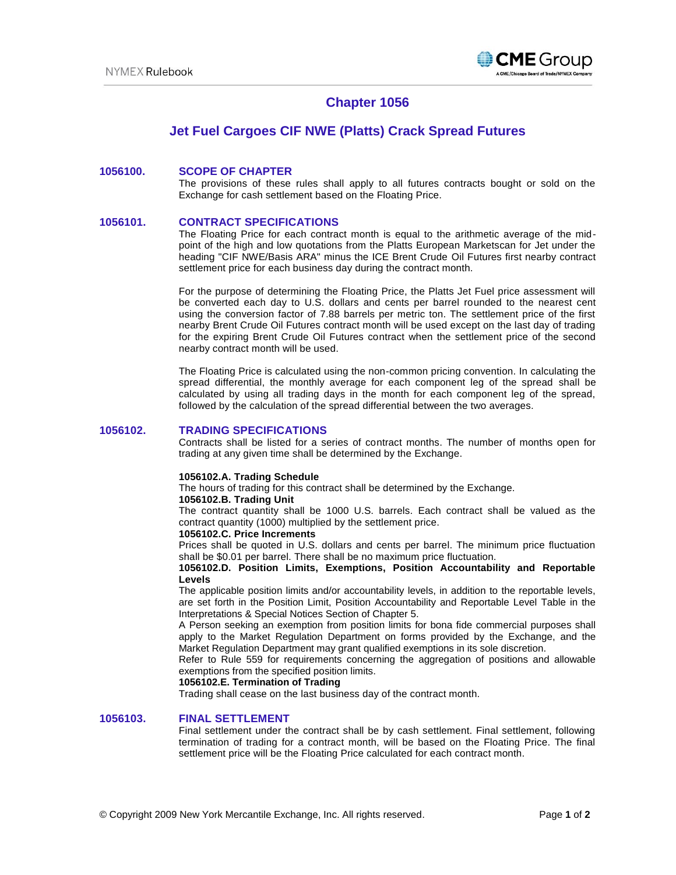

# **Chapter 1056**

## **Jet Fuel Cargoes CIF NWE (Platts) Crack Spread Futures**

## **1056100. SCOPE OF CHAPTER**

The provisions of these rules shall apply to all futures contracts bought or sold on the Exchange for cash settlement based on the Floating Price.

## **1056101. CONTRACT SPECIFICATIONS**

The Floating Price for each contract month is equal to the arithmetic average of the midpoint of the high and low quotations from the Platts European Marketscan for Jet under the heading "CIF NWE/Basis ARA" minus the ICE Brent Crude Oil Futures first nearby contract settlement price for each business day during the contract month.

For the purpose of determining the Floating Price, the Platts Jet Fuel price assessment will be converted each day to U.S. dollars and cents per barrel rounded to the nearest cent using the conversion factor of 7.88 barrels per metric ton. The settlement price of the first nearby Brent Crude Oil Futures contract month will be used except on the last day of trading for the expiring Brent Crude Oil Futures contract when the settlement price of the second nearby contract month will be used.

The Floating Price is calculated using the non-common pricing convention. In calculating the spread differential, the monthly average for each component leg of the spread shall be calculated by using all trading days in the month for each component leg of the spread, followed by the calculation of the spread differential between the two averages.

### **1056102. TRADING SPECIFICATIONS**

Contracts shall be listed for a series of contract months. The number of months open for trading at any given time shall be determined by the Exchange.

#### **1056102.A. Trading Schedule**

The hours of trading for this contract shall be determined by the Exchange.

#### **1056102.B. Trading Unit**

The contract quantity shall be 1000 U.S. barrels. Each contract shall be valued as the contract quantity (1000) multiplied by the settlement price.

#### **1056102.C. Price Increments**

Prices shall be quoted in U.S. dollars and cents per barrel. The minimum price fluctuation shall be \$0.01 per barrel. There shall be no maximum price fluctuation.

#### **1056102.D. Position Limits, Exemptions, Position Accountability and Reportable Levels**

The applicable position limits and/or accountability levels, in addition to the reportable levels, are set forth in the Position Limit, Position Accountability and Reportable Level Table in the Interpretations & Special Notices Section of Chapter 5.

A Person seeking an exemption from position limits for bona fide commercial purposes shall apply to the Market Regulation Department on forms provided by the Exchange, and the Market Regulation Department may grant qualified exemptions in its sole discretion.

Refer to Rule 559 for requirements concerning the aggregation of positions and allowable exemptions from the specified position limits.

#### **1056102.E. Termination of Trading**

Trading shall cease on the last business day of the contract month.

## **1056103. FINAL SETTLEMENT**

Final settlement under the contract shall be by cash settlement. Final settlement, following termination of trading for a contract month, will be based on the Floating Price. The final settlement price will be the Floating Price calculated for each contract month.